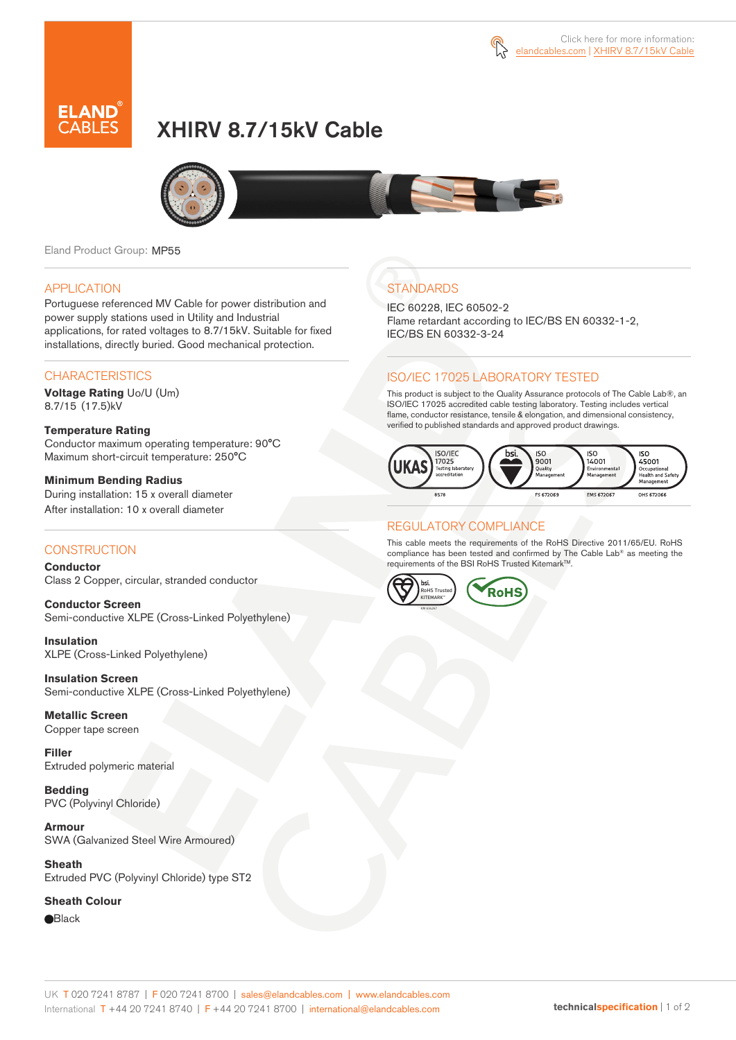



# XHIRV 8.7/15kV Cable



Eland Product Group: MP55

#### APPLICATION

Portuguese referenced MV Cable for power distribution and power supply stations used in Utility and Industrial applications, for rated voltages to 8.7/15kV. Suitable for fixed installations, directly buried. Good mechanical protection.

#### **CHARACTERISTICS**

**Voltage Rating** Uo/U (Um) 8.7/15 (17.5)kV

**Temperature Rating**  Conductor maximum operating temperature: 90°C Maximum short-circuit temperature: 250°C

**Minimum Bending Radius**  During installation: 15 x overall diameter After installation: 10 x overall diameter

### **CONSTRUCTION**

**Conductor**  Class 2 Copper, circular, stranded conductor

**Conductor Screen** Semi-conductive XLPE (Cross-Linked Polyethylene)

**Insulation** XLPE (Cross-Linked Polyethylene)

**Insulation Screen** Semi-conductive XLPE (Cross-Linked Polyethylene)

**Metallic Screen**  Copper tape screen

**Filler** Extruded polymeric material

**Bedding** PVC (Polyvinyl Chloride)

**Armour** SWA (Galvanized Steel Wire Armoured)

**Sheath** Extruded PVC (Polyvinyl Chloride) type ST2

#### **Sheath Colour**

**Black** 

# **STANDARDS**

IEC 60228, IEC 60502-2 Flame retardant according to IEC/BS EN 60332-1-2, IEC/BS EN 60332-3-24

## ISO/IEC 17025 LABORATORY TESTED

This product is subject to the Quality Assurance protocols of The Cable Lab®, an ISO/IEC 17025 accredited cable testing laboratory. Testing includes vertical flame, conductor resistance, tensile & elongation, and dimensional consistency, verified to published standards and approved product drawings.



### REGULATORY COMPLIANCE

This cable meets the requirements of the RoHS Directive 2011/65/EU. RoHS compliance has been tested and confirmed by The Cable Lab® as meeting the requirements of the BSI RoHS Trusted Kitemark™.